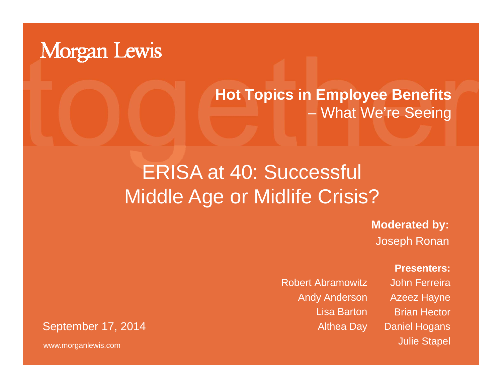

#### **Hot Topics in Employee Benefits**  – What We're Seein g

### ERISA at 40: Successful Middle Age or Midlife Crisis?

**Moderated by:** Joseph Ronan

Robert AbramowitzAndy Anderson Lisa Barton **Presenters:**

John FerreiraAzeez Hayne Brian HectorDaniel Hogans Julie Stapel

September 17, 2014 **Althea Day** 

www.morganlewis.com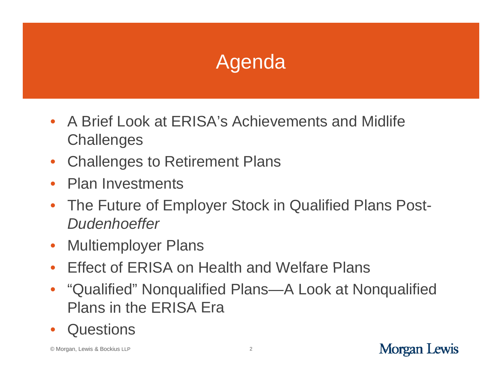## **Agenda**

- A Brief Look at ERISA's Achievements and Midlife **Challenges**
- $\bullet$ Challenges to Retirement Plans
- $\bullet$ Plan Investments
- $\bullet$  The Future of Employer Stock in Qualified Plans Post*-D d h ff Dudenhoeffer*
- $\bullet$ Multiemployer Plans
- Effect of ERISA on Health and Welfare Plans
- "Qualified" Nonqualified Plans—A Look at Nonqualified Plans in the ERISA Era
- $\bullet$ **Questions**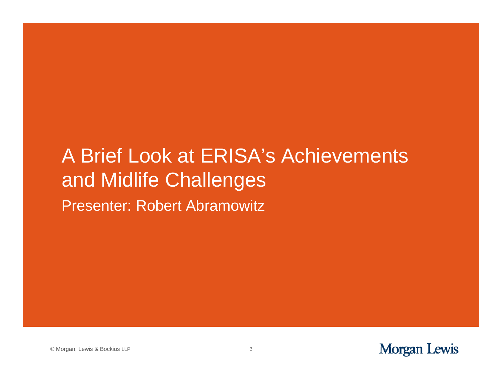#### A Brief Look at ERISA's Achievements Presenter: Robert Abramowitz and Midlife Challenges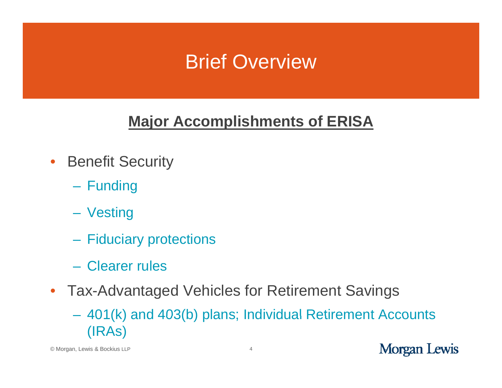### Brief Overview

#### **Major Accomplishments of ERISA**

- $\bullet$  Benefit Security
	- Funding
	- Vesting
	- $\mathcal{L}_{\mathcal{A}}$ Fiduciary protections
	- Clearer rules
- Tax-Advantaged Vehicles for Retirement Savings
	- 401(k) and 403(b) plans; Individual Retirement Accounts (IRAs)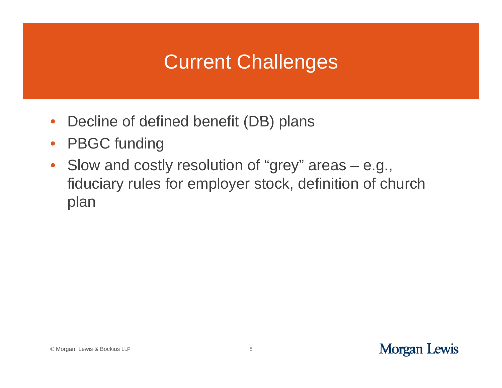### Current Challenges

- $\bullet$ Decline of defined benefit (DB) plans
- $\bullet$ PBGC funding
- •Slow and costly resolution of "grey" areas  $-$  e.g., fiduciary rules for employer stock, definition of church plan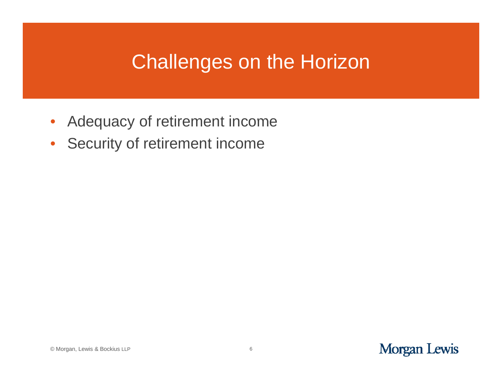#### Challenges on the Horizon

- $\bullet$ Adequacy of retirement income
- •Security of retirement income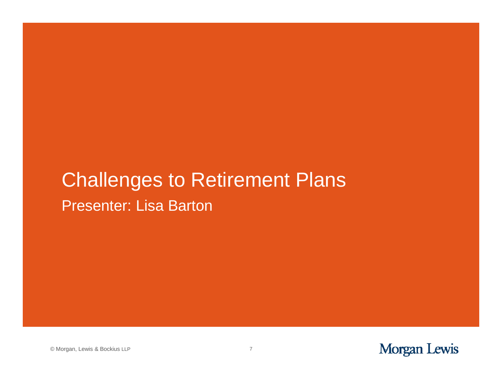#### Presenter: Lisa Barton Challenges to Retirement Plans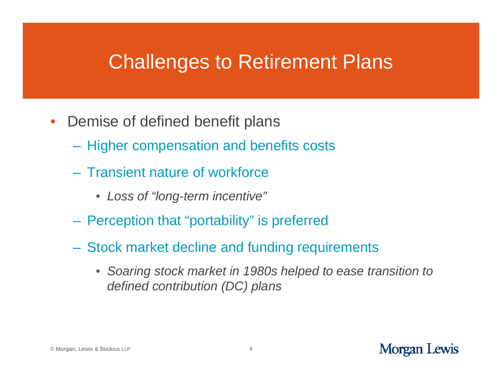#### Challenges to Retirement Plans

- Demise of defined benefit plans
	- Higher compensation and benefits costs
	- Transient nature of workforce
		- *Loss of "long-term incentive"*
	- $-$  Perception that "portability" is preferred
	- Stock market decline and funding requirements
		- Soaring stock market in 1980s helped to ease transition to *defined contribution (DC) plans*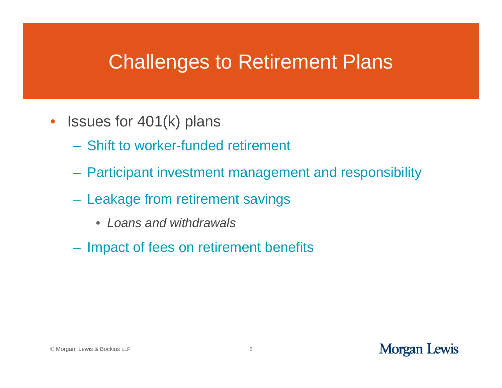#### Challenges to Retirement Plans

- Issues for 401(k) plans
	- Shift to worker-funded retirement
	- Participant investment management and responsibility
	- Leakage from retirement savings
		- *Loans and withdrawals*
	- Impact of fees on retirement benefits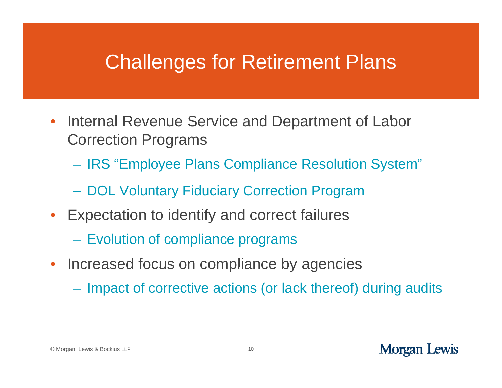#### Challenges for Retirement Plans

- $\bullet$ Internal Revenue Service and Department of Labor Correction Programs
	- IRS "Employee Plans Compliance Resolution System"
	- DOL Voluntary Fiduciary Correction Program
- Expectation to identify and correct failures
	- $\mathcal{L}_{\mathcal{A}}$ Evolution of compliance programs
- $\bullet$  Increased focus on compliance by agencies
	- Impact of corrective actions (or lack thereof) during audits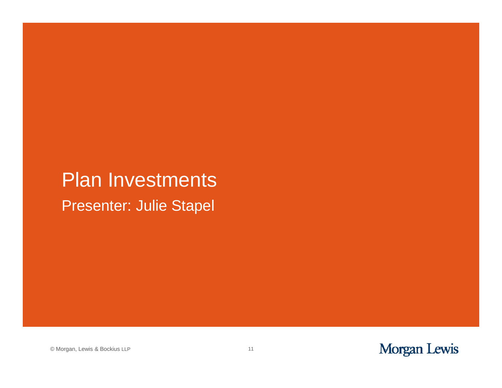#### Presenter: Julie Stapel Plan Investments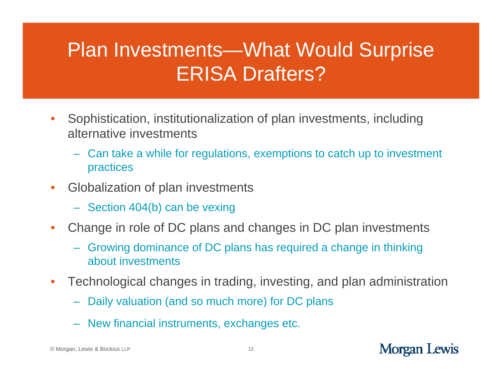### Plan Investments—What Would Surprise ERISA Drafters?

- •Sophistication, institutionalization of plan investments, including alternative investments
	- Can take a while for regulations, exemptions to catch up to investment practices
- • Globalization of plan investments
	- Section 404(b) can be vexing
- $\bullet$  Change in role of DC plans and changes in DC plan investments
	- Growing dominance of DC plans has required a change in thinking about investments
- $\bullet$  Technological changes in trading, investing, and plan administration
	- Daily valuation (and so much more) for DC plans
	- New financial instruments, exchanges etc.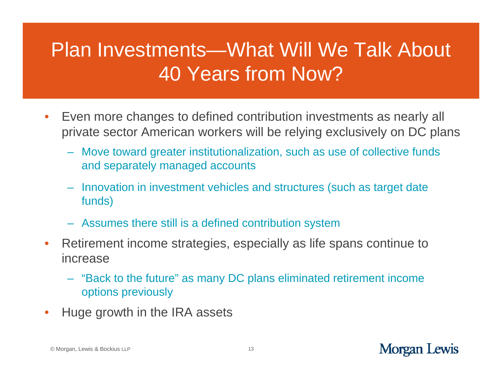## Plan Investments—What Will We Talk About 40 Years from Now?

- •Even more changes to defined contribution investments as nearly all private sector American workers will be relying exclusively on DC plans
	- Move toward greater institutionalization, such as use of collective funds and separately managed accounts
	- Innovation in investment vehicles and structures (such as target date funds)
	- Assumes there still is a defined contribution system
- $\bullet$  Retirement income strategies, especially as life spans continue to increase
	- "Back to the future" as many DC plans eliminated retirement income options previously
- • $\bullet$  Huge growth in the IRA assets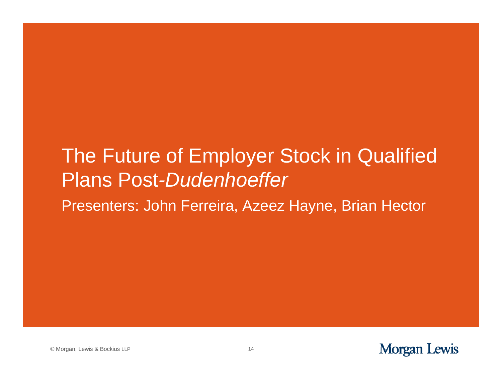### The Future of Employer Stock in Qualified Plans Post *-Dudenhoeffer*

Presenters: John Ferreira, Azeez Hayne, Brian Hector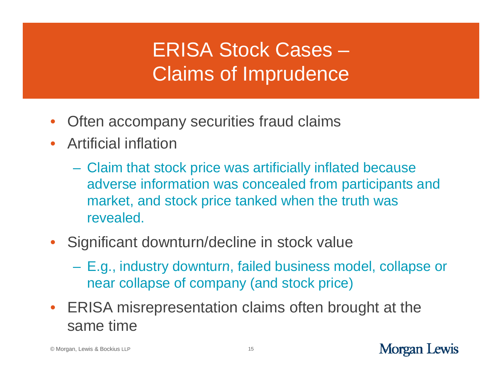## ERISA Stock Cases – Claims of Imprudence

- $\bullet$ Often accompany securities fraud claims
- Artificial inflation
	- $\mathcal{L}_{\mathcal{A}}$  $-$  Claim that stock price was artificially inflated because adverse information was concealed from participants and market, and stock price tanked when the truth was revealed.
- $\bullet$  Significant downturn/decline in stock value
	- $\mathcal{L}_{\mathcal{A}}$ – E.g., industry downturn, failed business model, collapse or near collapse of company (and stock price)
- ERISA misrepresentation claims often brou ght at the same time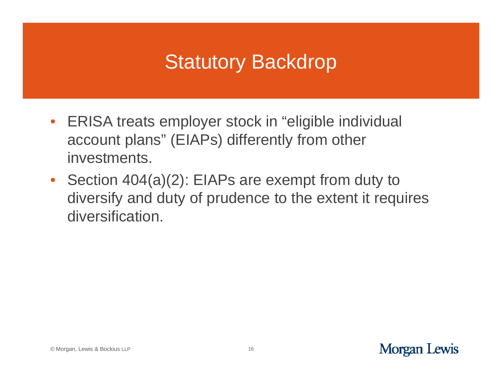#### **Statutory Backdrop**

- ERISA treats employer stock in "eligible individual account plans" (EIAPs) differently from other investments.
- Section 404(a)(2): EIAPs are exempt from duty to diversify and duty of prudence to the extent it requires diversification.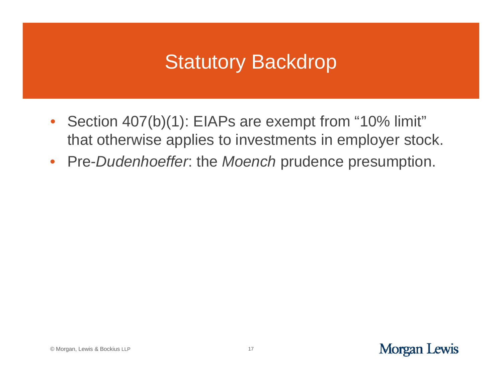### **Statutory Backdrop**

- Section 407(b)(1): EIAPs are exempt from "10% limit" that otherwise applies to investments in employer stock.
- Pre-*Dudenhoeffer*: the *Moench* prudence presumption.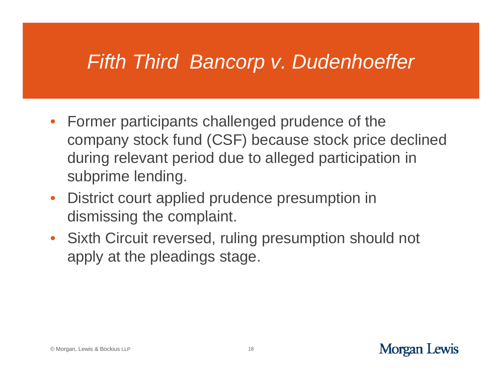### *Fifth Third Bancorp v. Dudenhoeffer*

- Former participants challenged prudence of the company stock fund (CSF) because stock price declined during relevant period due to alleged participation in subprime lending.
- District court applied prudence presumption in dismissing the complaint.
- Sixth Circuit reversed, ruling presumption should not apply at the pleadings stage.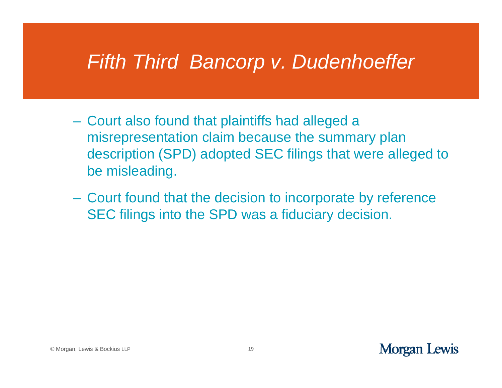#### *Fifth Third Bancorp v. Dudenhoeffer*

- $-$  Court also found that plaintiffs had alleged a  $\,$ misrepresentation claim because the summary plan description (SPD) adopted SEC filings that were alleged to be misleading.
- Court found that the decision to incorporate by reference SEC filings into the SPD was <sup>a</sup> fiduciary decision.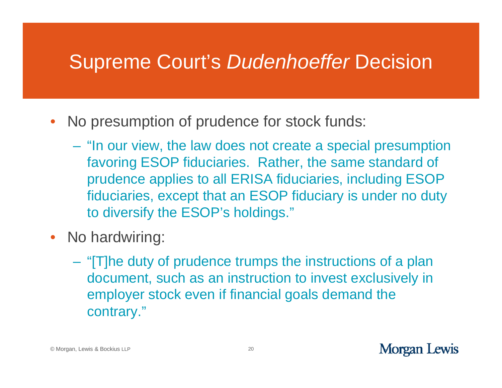#### Supreme Court's *Dudenhoeffer* Decision

- No presumption of prudence for stock funds:
	- "In our view, the law does not create a special presumption favoring ESOP fiduciaries. Rather, the same standard of prudence applies to all ERISA fiduciaries, including ESOP fiduciaries, except that an ESOP fiduciary is under no duty to diversify the ESOP's holdings."
- $\bullet$  No hardwiring:
	- "[T]he duty of prudence trumps the instructions of a plan document, such as an instruction to invest exclusively in employer stock even if financial goals demand the contrary."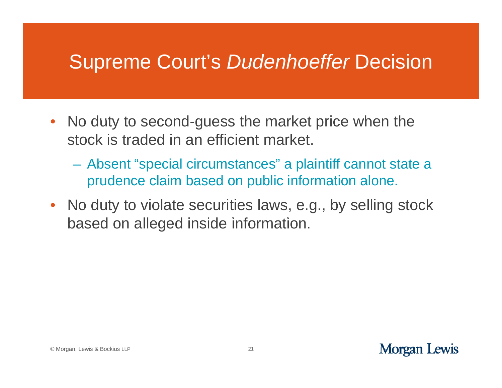#### Supreme Court's *Dudenhoeffer* Decision

- No duty to second-guess the market price when the stock is traded in an efficient market.
	- Absent "special circumstances" a plaintiff cannot state a prudence claim based on public information alone.
- No duty to violate securities laws, e.g., by selling stock based on alleged inside information.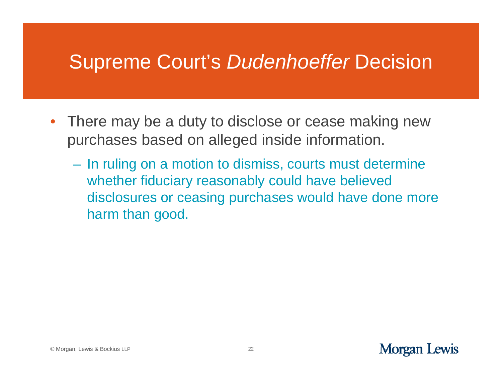#### Supreme Court's *Dudenhoeffer* Decision

- There may be a duty to disclose or cease making new purchases based on alleged inside information.
	- In ruling on a motion to dismiss, courts must determine whether fiduciary reasonably could have believed disclosures or ceasing purchases would have done more harm than good.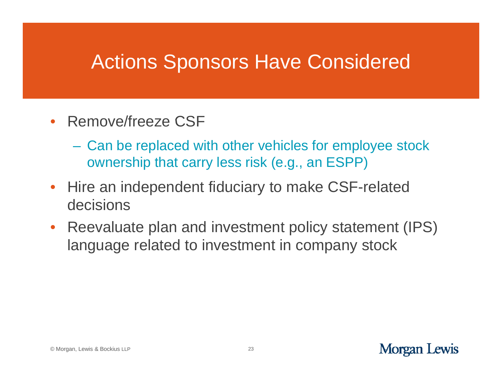#### Actions Sponsors Have Considered

- Remove/freeze CSF
	- Can be replaced with other vehicles for employee stock ownership that carry less risk (e.g., an ESPP)
- $\bullet$  Hire an independent fiduciary to make CSF-related decisions
- $\bullet$  Reevaluate plan and investment policy statement (IPS) language related to investment in company stock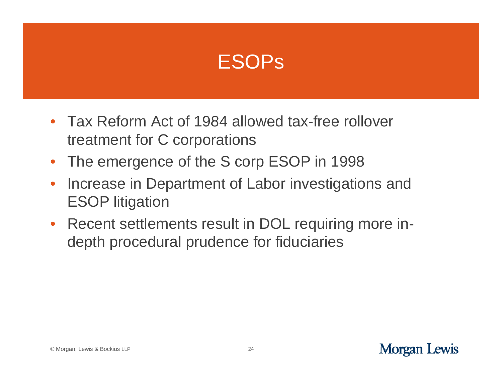

- Tax Reform Act of 1984 allowed tax-free rollover treatment for C corporations
- The emergence of the S corp ESOP in 1998
- $\bullet$  Increase in Department of Labor investigations and ESOP litigation
- Recent settlements result in DOL requiring more indepth procedural prudence for fiduciaries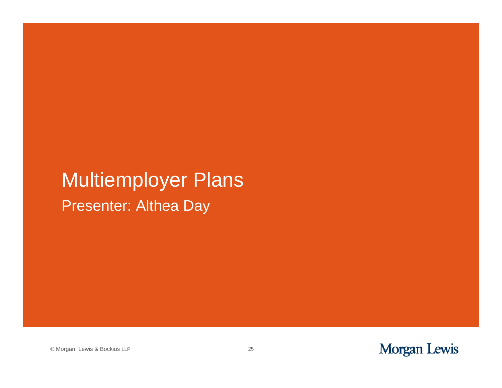### Presenter: Althea Day Multiemployer Plans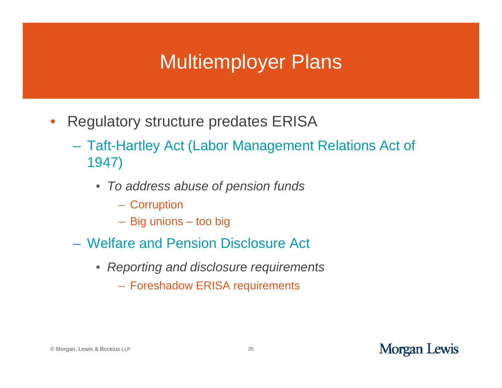#### Multiemployer Plans

- $\bullet$  Regulatory structure predates ERISA
	- Taft-Hartley Act (Labor Management Relations Act of 1947)
		- *To address abuse of pension funds*
			- Corruption
			- Big unions too big
	- Welfare and Pension Disclosure Act
		- *Reporting and disclosure requirements*
			- Foreshadow ERISA requirements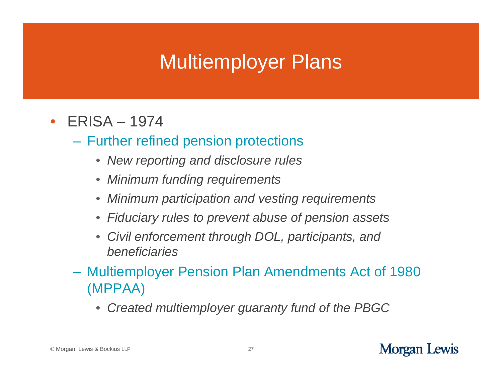### Multiemployer Plans

- ERISA 1974
	- Further refined pension protections
		- *New reporting and disclosure rules*
		- *Minimum funding requirements*
		- •*Minimum participation and vesting requirements*
		- *Fiduciary rules to prevent abuse of pension assets pension*
		- $\bullet$  *Civil enforcement through DOL, participants, and beneficiaries*
	- $\mathcal{L}_{\mathcal{A}}$ – Multiemployer Pension Plan Amendments Act of 1980 (MPPAA)
		- $\bullet$ *Created multiemployer guaranty fund of the PBGC*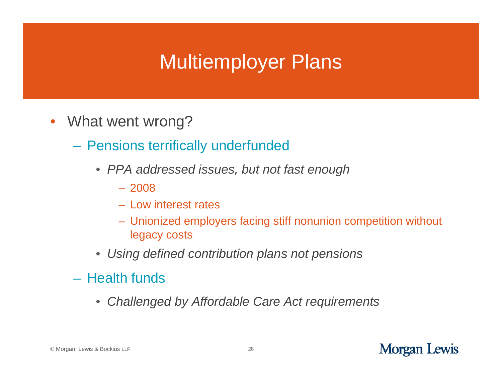### Multiemployer Plans

- What went wrong?
	- Pensions terrifically underfunded
		- *PPA addressed issues but not fast enough issues, but*
			- 2008
			- Low interest rates
			- Unionized employers facing stiff nonunion competition without legacy costs
		- *Using defined contribution plans not pensions*
	- Health funds
		- $\bullet$ *Challenged by Affordable Care Act requirements*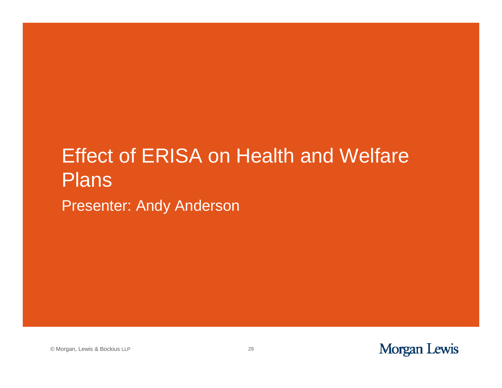### **Effect of ERISA on Health and Welfare** Presenter: Andy Anderson Plans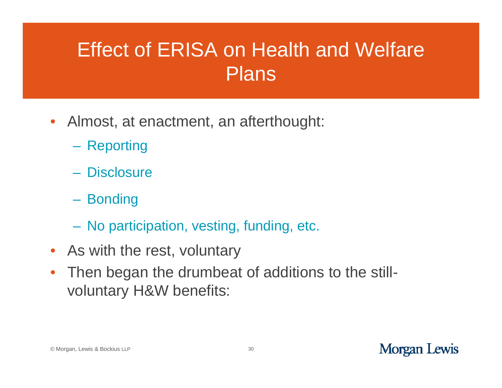- Almost, at enactment, an afterthought:
	- Reporting
	- Disclosure
	- **Bonding**
	- No participation, vesting, funding, etc.
- As with the rest, voluntary
- $\bullet$ • Then began the drumbeat of additions to the stillvoluntary H&W benefits: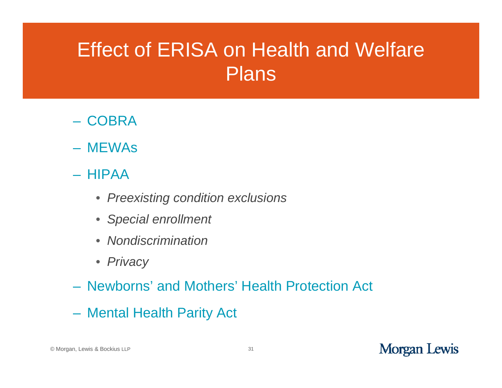- COBRA
- MEWAs
- HIPAA
	- *Preexisting condition exclusions*
	- *Special enrollment*
	- *Nondiscrimination*
	- *Privacy*
- Newborns' and Mothers' Health Protection Act
- Mental Health Parity Act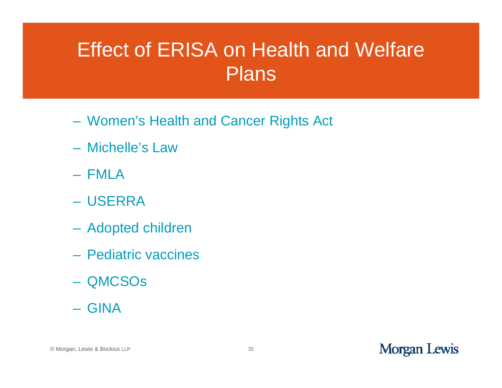- Women's Health and Cancer Rights Act
- Michelle's Law
- FMLA
- USERRA
- Adopted children
- Pediatric vaccines
- QMCSOs
- GINA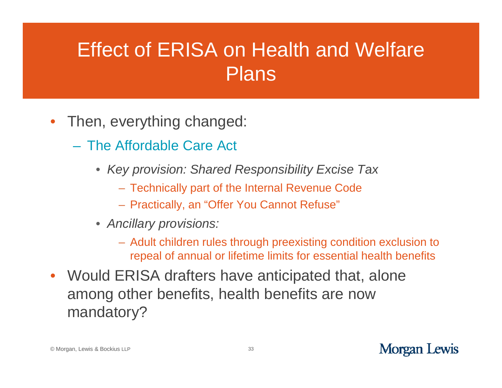- Then, everything changed:
	- The Affordable Care Act
		- *Key provision: Shared Responsibility Excise Tax*
			- Technically part of the Internal Revenue Code
			- Practically, an "Offer You Cannot Refuse"
		- *Ancillary provisions:*
			- Adult children rules through preexisting condition exclusion to repeal of annual or lifetime limits for essential health benefits
- Would ERISA drafters have anticipated that, alone among other benefits, health benefits are now mandatory?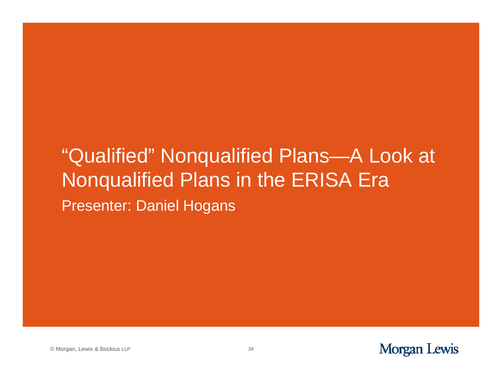### "Qualified" Nonqualified Plans—A Look at Presenter: Daniel Hogans Nonqualified Plans in the ERIS A Era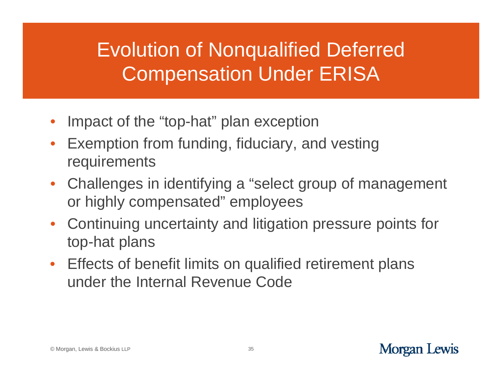## Evolution of Nonqualified Deferred Compensation Under ERISA

- •• Impact of the "top-hat" plan exception
- $\bullet$  Exemption from funding, fiduciary, and vesting re quirements
- Challenges in identifying a "select group of management or highly compensated" employees
- $\bullet$ • Continuing uncertainty and litigation pressure points for top-hat plans
- Effects of benefit limits on qualified retirement plans under the Internal Revenue Code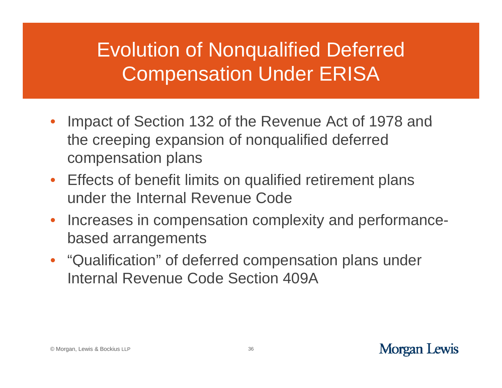## Evolution of Nonqualified Deferred Compensation Under ERISA

- Impact of Section 132 of the Revenue Act of 1978 and the creeping expansion of nonqualified deferred compensation plans
- Effects of benefit limits on qualified retirement plans under the Internal Revenue Code
- $\bullet$ • Increases in compensation complexity and performance based arrangements
- "Qualification" of deferred compensation plans under Internal Revenue Code Section 409A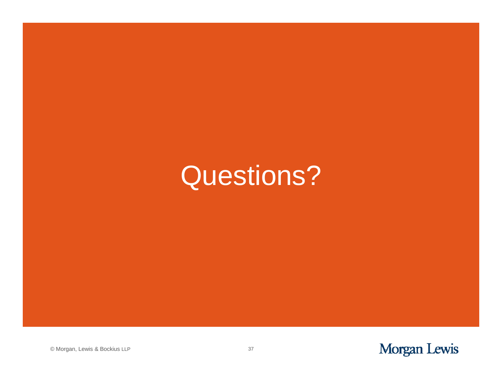# Questions?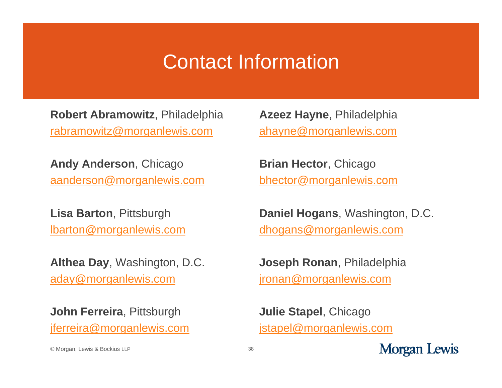#### Contact Information

**Robert Abramowitz**, Philadelphia rabramowitz@morganlewis.com

**And y Anderson**, Chica g o **y** , **Brian Hector**, Chica aanderson@morganlewis.com

**Lisa Barton**, Pittsbur g h , **Daniel Ho** lbarton@morganlewis.com

**Althea Da y**, Washin gton, D.C. , g, **Jose** aday@morganlewis.com

**John Ferreira**, Pittsburgh jferreira@morganlewis.com

**Azeez Hayne**, Philadelphia ahayne@morganlewis.com

, Chicago bhector@morganlewis.com

gans, Washington, D.C. dhogans@morganlewis.com

**ph Ronan**, Philadelphia jronan@morganlewis.com

**Julie Stapel**, Chicago jstapel@morganlewis.com

**Morgan Lewis** 

© Morgan, Lewis & Bockius LLP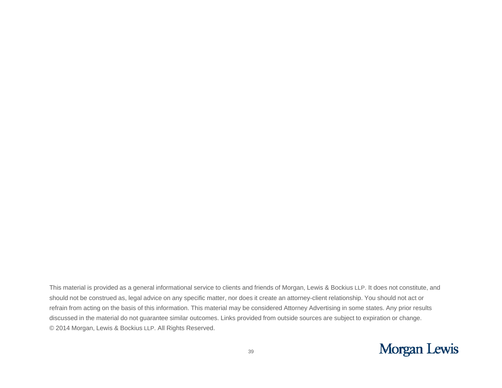This material is provided as a general informational service to clients and friends of Morgan, Lewis & Bockius LLP. It does not constitute, and should not be construed as, legal advice on any specific matter, nor does it create an attorney-client relationship. You should not act or refrain from acting on the basis of this information. This material may be considered Attorney Advertising in some states. Any prior results discussed in the material do not guarantee similar outcomes. Links provided from outside sources are subject to expiration or change. © 2014 Morgan, Lewis & Bockius LLP. All Rights Reserved.